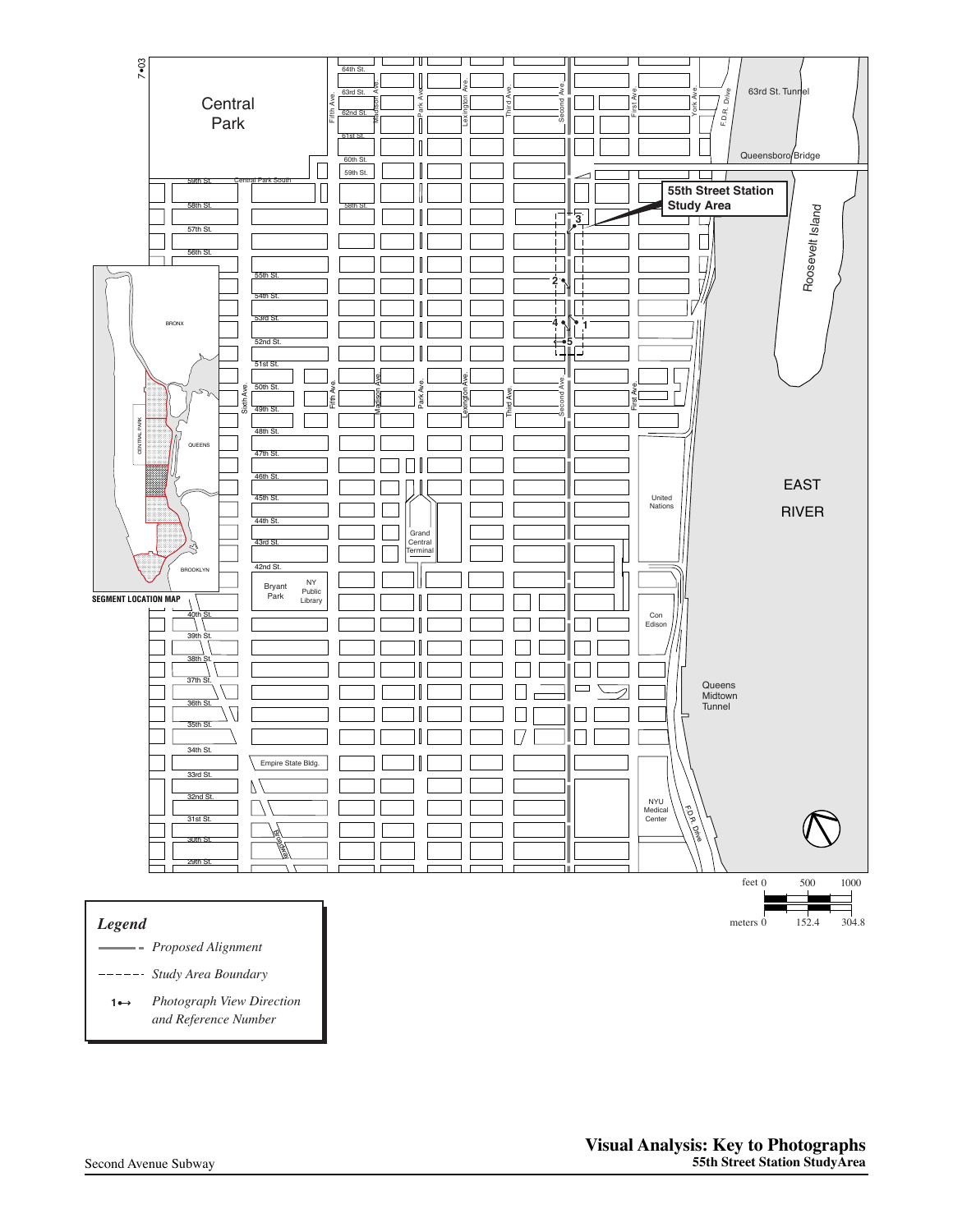

**Photograph View Direction** and Reference Number **1**

21st St.